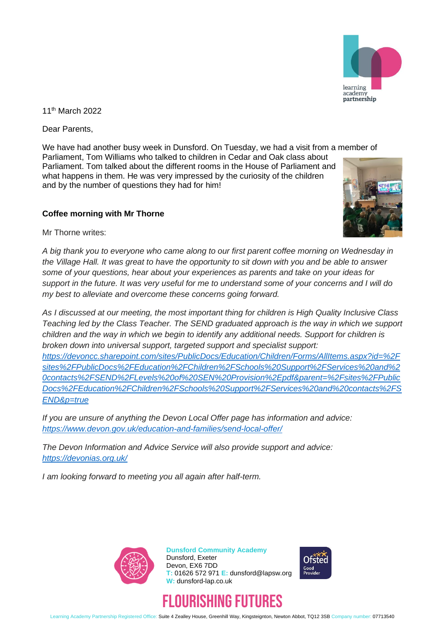

11th March 2022

Dear Parents,

We have had another busy week in Dunsford. On Tuesday, we had a visit from a member of Parliament, Tom Williams who talked to children in Cedar and Oak class about Parliament. Tom talked about the different rooms in the House of Parliament and what happens in them. He was very impressed by the curiosity of the children and by the number of questions they had for him!

## **Coffee morning with Mr Thorne**

Mr Thorne writes:

*A big thank you to everyone who came along to our first parent coffee morning on Wednesday in the Village Hall. It was great to have the opportunity to sit down with you and be able to answer some of your questions, hear about your experiences as parents and take on your ideas for support in the future. It was very useful for me to understand some of your concerns and I will do my best to alleviate and overcome these concerns going forward.*

*As I discussed at our meeting, the most important thing for children is High Quality Inclusive Class Teaching led by the Class Teacher. The SEND graduated approach is the way in which we support children and the way in which we begin to identify any additional needs. Support for children is broken down into universal support, targeted support and specialist support: [https://devoncc.sharepoint.com/sites/PublicDocs/Education/Children/Forms/AllItems.aspx?id=%2F](https://devoncc.sharepoint.com/sites/PublicDocs/Education/Children/Forms/AllItems.aspx?id=%2Fsites%2FPublicDocs%2FEducation%2FChildren%2FSchools%20Support%2FServices%20and%20contacts%2FSEND%2FLevels%20of%20SEN%20Provision%2Epdf&parent=%2Fsites%2FPublicDocs%2FEducation%2FChildren%2FSchools%20Support%2FServices%20and%20contacts%2FSEND&p=true) [sites%2FPublicDocs%2FEducation%2FChildren%2FSchools%20Support%2FServices%20and%2](https://devoncc.sharepoint.com/sites/PublicDocs/Education/Children/Forms/AllItems.aspx?id=%2Fsites%2FPublicDocs%2FEducation%2FChildren%2FSchools%20Support%2FServices%20and%20contacts%2FSEND%2FLevels%20of%20SEN%20Provision%2Epdf&parent=%2Fsites%2FPublicDocs%2FEducation%2FChildren%2FSchools%20Support%2FServices%20and%20contacts%2FSEND&p=true) [0contacts%2FSEND%2FLevels%20of%20SEN%20Provision%2Epdf&parent=%2Fsites%2FPublic](https://devoncc.sharepoint.com/sites/PublicDocs/Education/Children/Forms/AllItems.aspx?id=%2Fsites%2FPublicDocs%2FEducation%2FChildren%2FSchools%20Support%2FServices%20and%20contacts%2FSEND%2FLevels%20of%20SEN%20Provision%2Epdf&parent=%2Fsites%2FPublicDocs%2FEducation%2FChildren%2FSchools%20Support%2FServices%20and%20contacts%2FSEND&p=true) [Docs%2FEducation%2FChildren%2FSchools%20Support%2FServices%20and%20contacts%2FS](https://devoncc.sharepoint.com/sites/PublicDocs/Education/Children/Forms/AllItems.aspx?id=%2Fsites%2FPublicDocs%2FEducation%2FChildren%2FSchools%20Support%2FServices%20and%20contacts%2FSEND%2FLevels%20of%20SEN%20Provision%2Epdf&parent=%2Fsites%2FPublicDocs%2FEducation%2FChildren%2FSchools%20Support%2FServices%20and%20contacts%2FSEND&p=true) [END&p=true](https://devoncc.sharepoint.com/sites/PublicDocs/Education/Children/Forms/AllItems.aspx?id=%2Fsites%2FPublicDocs%2FEducation%2FChildren%2FSchools%20Support%2FServices%20and%20contacts%2FSEND%2FLevels%20of%20SEN%20Provision%2Epdf&parent=%2Fsites%2FPublicDocs%2FEducation%2FChildren%2FSchools%20Support%2FServices%20and%20contacts%2FSEND&p=true)*

*If you are unsure of anything the Devon Local Offer page has information and advice: <https://www.devon.gov.uk/education-and-families/send-local-offer/>*

*The Devon Information and Advice Service will also provide support and advice: <https://devonias.org.uk/>*

*I am looking forward to meeting you all again after half-term.*



**Dunsford Community Academy** Dunsford, Exeter Devon, EX6 7DD **T:** 01626 572 971 **E:** dunsford@lapsw.org **W:** dunsford-lap.co.uk